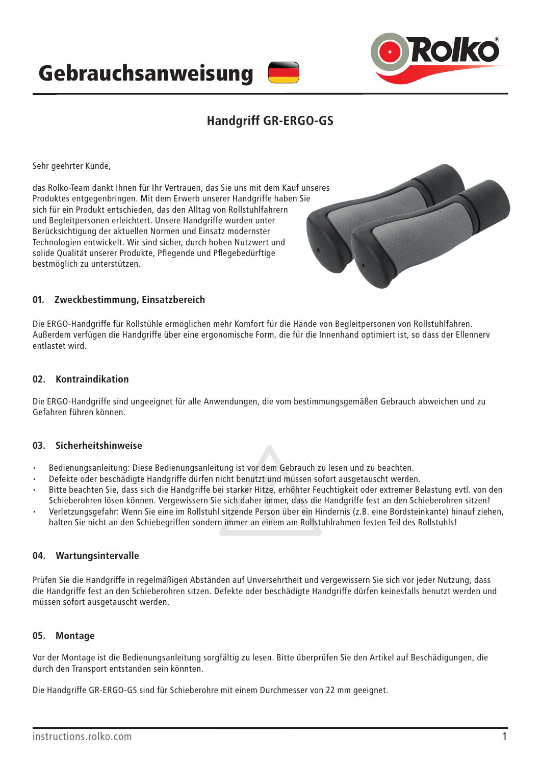



## **Handgriff GR-ERGO-GS**

Sehr geehrter Kunde,

das Rolko-Team dankt Ihnen für Ihr Vertrauen, das Sie uns mit dem Kauf unseres Produktes entgegenbringen. Mit dem Erwerb unserer Handgriffe haben Sie sich für ein Produkt entschieden, das den Alltag von Rollstuhlfahrern und Begleitpersonen erleichtert. Unsere Handgriffe wurden unter Berücksichtigung der aktuellen Normen und Einsatz modernster Technologien entwickelt. Wir sind sicher, durch hohen Nutzwert und solide Qualität unserer Produkte, Pflegende und Pflegebedürftige bestmöglich zu unterstützen.



#### **01. Zweckbestimmung, Einsatzbereich**

Die ERGO-Handgriffe für Rollstühle ermöglichen mehr Komfort für die Hände von Begleitpersonen von Rollstuhlfahren. Außerdem verfügen die Handgriffe über eine ergonomische Form, die für die Innenhand optimiert ist, so dass der Ellennerv entlastet wird.

#### **02. Kontraindikation**

Die ERGO-Handgriffe sind ungeeignet für alle Anwendungen, die vom bestimmungsgemäßen Gebrauch abweichen und zu Gefahren führen können.

#### **03. Sicherheitshinweise**

- Bedienungsanleitung: Diese Bedienungsanleitung ist vor dem Gebrauch zu lesen und zu beachten.
- Defekte oder beschädigte Handgriffe dürfen nicht benutzt und müssen sofort ausgetauscht werden.
- Bitte beachten Sie, dass sich die Handgriffe bei starker Hitze, erhöhter Feuchtigkeit oder extremer Belastung evtl. von den Schieberohren lösen können. Vergewissern Sie sich daher immer, dass die Handgriffe fest an den Schieberohren sitzen!
- Verletzungsgefahr: Wenn Sie eine im Rollstuhl sitzende Person über ein Hindernis (z.B. eine Bordsteinkante) hinauf ziehen, halten Sie nicht an den Schiebegriffen sondern immer an einem am Rollstuhlrahmen festen Teil des Rollstuhls!

#### **04. Wartungsintervalle**

Prüfen Sie die Handgriffe in regelmäßigen Abständen auf Unversehrtheit und vergewissern Sie sich vor jeder Nutzung, dass die Handgriffe fest an den Schieberohren sitzen. Defekte oder beschädigte Handgriffe dürfen keinesfalls benutzt werden und müssen sofort ausgetauscht werden.

#### **05. Montage**

Vor der Montage ist die Bedienungsanleitung sorgfältig zu lesen. Bitte überprüfen Sie den Artikel auf Beschädigungen, die durch den Transport entstanden sein könnten.

Die Handgriffe GR-ERGO-GS sind für Schieberohre mit einem Durchmesser von 22 mm geeignet.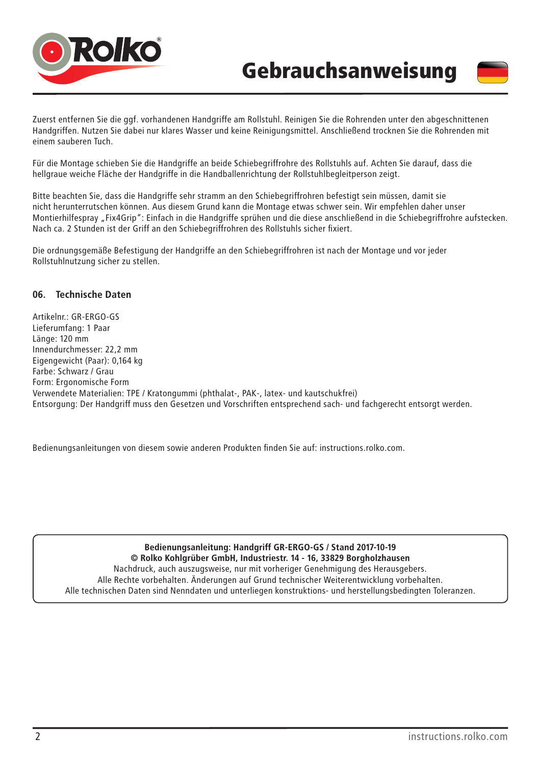



Zuerst entfernen Sie die ggf. vorhandenen Handgriffe am Rollstuhl. Reinigen Sie die Rohrenden unter den abgeschnittenen Handgriffen. Nutzen Sie dabei nur klares Wasser und keine Reinigungsmittel. Anschließend trocknen Sie die Rohrenden mit einem sauberen Tuch.

Für die Montage schieben Sie die Handgriffe an beide Schiebegriffrohre des Rollstuhls auf. Achten Sie darauf, dass die hellgraue weiche Fläche der Handgriffe in die Handballenrichtung der Rollstuhlbegleitperson zeigt.

Bitte beachten Sie, dass die Handgriffe sehr stramm an den Schiebegriffrohren befestigt sein müssen, damit sie nicht herunterrutschen können. Aus diesem Grund kann die Montage etwas schwer sein. Wir empfehlen daher unser Montierhilfespray "Fix4Grip": Einfach in die Handgriffe sprühen und die diese anschließend in die Schiebegriffrohre aufstecken. Nach ca. 2 Stunden ist der Griff an den Schiebegriffrohren des Rollstuhls sicher fixiert.

Die ordnungsgemäße Befestigung der Handgriffe an den Schiebegriffrohren ist nach der Montage und vor jeder Rollstuhlnutzung sicher zu stellen.

#### **06. Technische Daten**

Artikelnr.: GR-ERGO-GS Lieferumfang: 1 Paar Länge: 120 mm Innendurchmesser: 22,2 mm Eigengewicht (Paar): 0,164 kg Farbe: Schwarz / Grau Form: Ergonomische Form Verwendete Materialien: TPE / Kratongummi (phthalat-, PAK-, latex- und kautschukfrei) Entsorgung: Der Handgriff muss den Gesetzen und Vorschriften entsprechend sach- und fachgerecht entsorgt werden.

Bedienungsanleitungen von diesem sowie anderen Produkten finden Sie auf: instructions.rolko.com.

**Bedienungsanleitung: Handgriff GR-ERGO-GS / Stand 2017-10-19 © Rolko Kohlgrüber GmbH, Industriestr. 14 - 16, 33829 Borgholzhausen** Nachdruck, auch auszugsweise, nur mit vorheriger Genehmigung des Herausgebers. Alle Rechte vorbehalten. Änderungen auf Grund technischer Weiterentwicklung vorbehalten. Alle technischen Daten sind Nenndaten und unterliegen konstruktions- und herstellungsbedingten Toleranzen.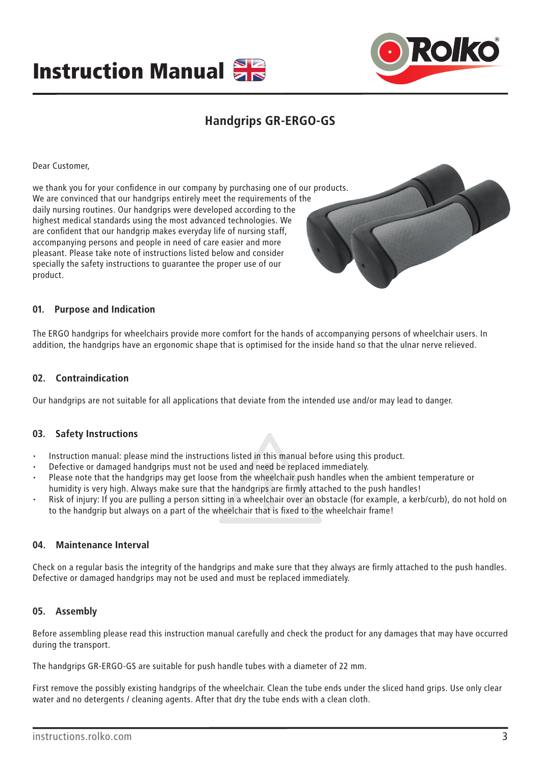



## **Handgrips GR-ERGO-GS**

Dear Customer,

we thank you for your confidence in our company by purchasing one of our products. We are convinced that our handgrips entirely meet the requirements of the daily nursing routines. Our handgrips were developed according to the highest medical standards using the most advanced technologies. We are confident that our handgrip makes everyday life of nursing staff, accompanying persons and people in need of care easier and more pleasant. Please take note of instructions listed below and consider specially the safety instructions to guarantee the proper use of our product.



#### **01. Purpose and Indication**

The ERGO handgrips for wheelchairs provide more comfort for the hands of accompanying persons of wheelchair users. In addition, the handgrips have an ergonomic shape that is optimised for the inside hand so that the ulnar nerve relieved.

#### **02. Contraindication**

Our handgrips are not suitable for all applications that deviate from the intended use and/or may lead to danger.

#### **03. Safety Instructions**

- Instruction manual: please mind the instructions listed in this manual before using this product.
- Defective or damaged handgrips must not be used and need be replaced immediately.
- Please note that the handgrips may get loose from the wheelchair push handles when the ambient temperature or humidity is very high. Always make sure that the handgrips are firmly attached to the push handles!
- Risk of injury: If you are pulling a person sitting in a wheelchair over an obstacle (for example, a kerb/curb), do not hold on to the handgrip but always on a part of the wheelchair that is fixed to the wheelchair frame!

#### **04. Maintenance Interval**

Check on a regular basis the integrity of the handgrips and make sure that they always are firmly attached to the push handles. Defective or damaged handgrips may not be used and must be replaced immediately.

#### **05. Assembly**

Before assembling please read this instruction manual carefully and check the product for any damages that may have occurred during the transport.

The handgrips GR-ERGO-GS are suitable for push handle tubes with a diameter of 22 mm.

First remove the possibly existing handgrips of the wheelchair. Clean the tube ends under the sliced hand grips. Use only clear water and no detergents / cleaning agents. After that dry the tube ends with a clean cloth.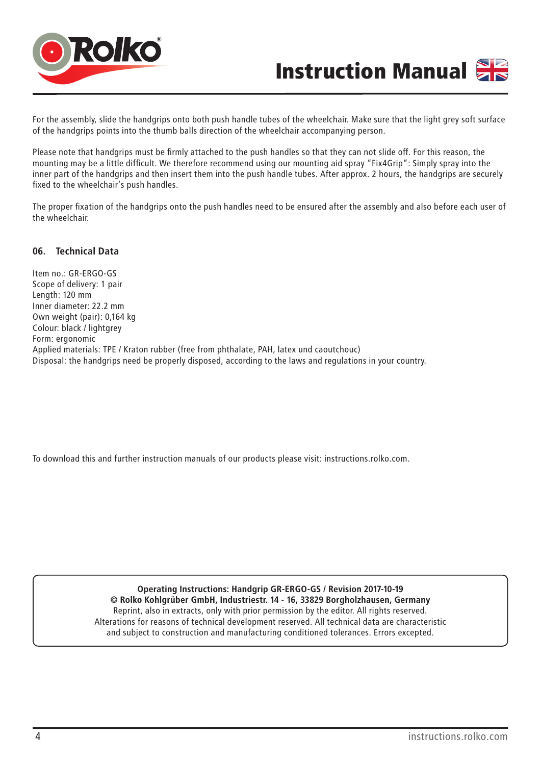



For the assembly, slide the handgrips onto both push handle tubes of the wheelchair. Make sure that the light grey soft surface of the handgrips points into the thumb balls direction of the wheelchair accompanying person.

Please note that handgrips must be firmly attached to the push handles so that they can not slide off. For this reason, the mounting may be a little difficult. We therefore recommend using our mounting aid spray "Fix4Grip": Simply spray into the inner part of the handgrips and then insert them into the push handle tubes. After approx. 2 hours, the handgrips are securely fixed to the wheelchair's push handles.

The proper fixation of the handgrips onto the push handles need to be ensured after the assembly and also before each user of the wheelchair.

#### **06. Technical Data**

Item no.: GR-ERGO-GS Scope of delivery: 1 pair Length: 120 mm Inner diameter: 22.2 mm Own weight (pair): 0,164 kg Colour: black / lightgrey Form: ergonomic Applied materials: TPE / Kraton rubber (free from phthalate, PAH, latex und caoutchouc) Disposal: the handgrips need be properly disposed, according to the laws and regulations in your country.

To download this and further instruction manuals of our products please visit: instructions.rolko.com.

**Operating Instructions: Handgrip GR-ERGO-GS / Revision 2017-10-19 © Rolko Kohlgrüber GmbH, Industriestr. 14 - 16, 33829 Borgholzhausen, Germany** Reprint, also in extracts, only with prior permission by the editor. All rights reserved. Alterations for reasons of technical development reserved. All technical data are characteristic and subject to construction and manufacturing conditioned tolerances. Errors excepted.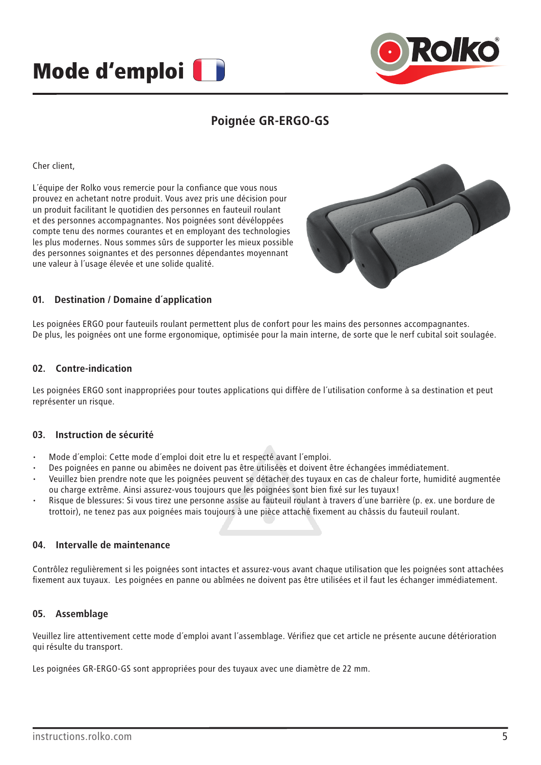



## **Poignée GR-ERGO-GS**

Cher client,

L´équipe der Rolko vous remercie pour la confiance que vous nous prouvez en achetant notre produit. Vous avez pris une décision pour un produit facilitant le quotidien des personnes en fauteuil roulant et des personnes accompagnantes. Nos poignées sont dévéloppées compte tenu des normes courantes et en employant des technologies les plus modernes. Nous sommes sûrs de supporter les mieux possible des personnes soignantes et des personnes dépendantes moyennant une valeur à l´usage élevée et une solide qualité.



#### **01. Destination / Domaine d´application**

Les poignées ERGO pour fauteuils roulant permettent plus de confort pour les mains des personnes accompagnantes. De plus, les poignées ont une forme ergonomique, optimisée pour la main interne, de sorte que le nerf cubital soit soulagée.

#### **02. Contre-indication**

Les poignées ERGO sont inappropriées pour toutes applications qui diffère de l´utilisation conforme à sa destination et peut représenter un risque.

#### **03. Instruction de sécurité**

- Mode d´emploi: Cette mode d´emploi doit etre lu et respecté avant l´emploi.
- Des poignées en panne ou abimêes ne doivent pas être utilisées et doivent être échangées immédiatement.
- Veuillez bien prendre note que les poignées peuvent se détacher des tuyaux en cas de chaleur forte, humidité augmentée ou charge extrême. Ainsi assurez-vous toujours que les poignées sont bien fixé sur les tuyaux!
- Risque de blessures: Si vous tirez une personne assise au fauteuil roulant à travers d´une barrière (p. ex. une bordure de trottoir), ne tenez pas aux poignées mais toujours à une pièce attaché fixement au châssis du fauteuil roulant.

#### **04. Intervalle de maintenance**

Contrôlez regulièrement si les poignées sont intactes et assurez-vous avant chaque utilisation que les poignées sont attachées fixement aux tuyaux. Les poignées en panne ou abîmées ne doivent pas être utilisées et il faut les échanger immédiatement.

#### **05. Assemblage**

Veuillez lire attentivement cette mode d´emploi avant l´assemblage. Vérifiez que cet article ne présente aucune détérioration qui résulte du transport.

Les poignées GR-ERGO-GS sont appropriées pour des tuyaux avec une diamètre de 22 mm.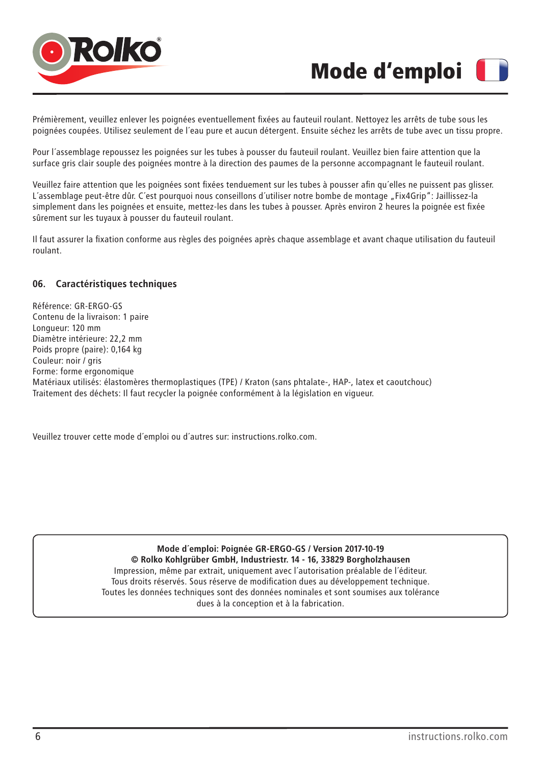

# Mode d'emploi

Prémièrement, veuillez enlever les poignées eventuellement fixées au fauteuil roulant. Nettoyez les arrêts de tube sous les poignées coupées. Utilisez seulement de l´eau pure et aucun détergent. Ensuite séchez les arrêts de tube avec un tissu propre.

Pour l´assemblage repoussez les poignées sur les tubes à pousser du fauteuil roulant. Veuillez bien faire attention que la surface gris clair souple des poignées montre à la direction des paumes de la personne accompagnant le fauteuil roulant.

Veuillez faire attention que les poignées sont fixées tenduement sur les tubes à pousser afin qu´elles ne puissent pas glisser. L´assemblage peut-être dûr. C´est pourquoi nous conseillons d´utiliser notre bombe de montage "Fix4Grip": Jaillissez-la simplement dans les poignées et ensuite, mettez-les dans les tubes à pousser. Après environ 2 heures la poignée est fixée sûrement sur les tuyaux à pousser du fauteuil roulant.

Il faut assurer la fixation conforme aus règles des poignées après chaque assemblage et avant chaque utilisation du fauteuil roulant.

#### **06. Caractéristiques techniques**

Référence: GR-ERGO-GS Contenu de la livraison: 1 paire Longueur: 120 mm Diamètre intérieure: 22,2 mm Poids propre (paire): 0,164 kg Couleur: noir / gris Forme: forme ergonomique Matériaux utilisés: élastomères thermoplastiques (TPE) / Kraton (sans phtalate-, HAP-, latex et caoutchouc) Traitement des déchets: Il faut recycler la poignée conformément à la législation en vigueur.

Veuillez trouver cette mode d´emploi ou d´autres sur: instructions.rolko.com.

**Mode d´emploi: Poignée GR-ERGO-GS / Version 2017-10-19 © Rolko Kohlgrüber GmbH, Industriestr. 14 - 16, 33829 Borgholzhausen** Impression, même par extrait, uniquement avec l´autorisation préalable de l´éditeur. Tous droits réservés. Sous réserve de modification dues au développement technique. Toutes les données techniques sont des données nominales et sont soumises aux tolérance dues à la conception et à la fabrication.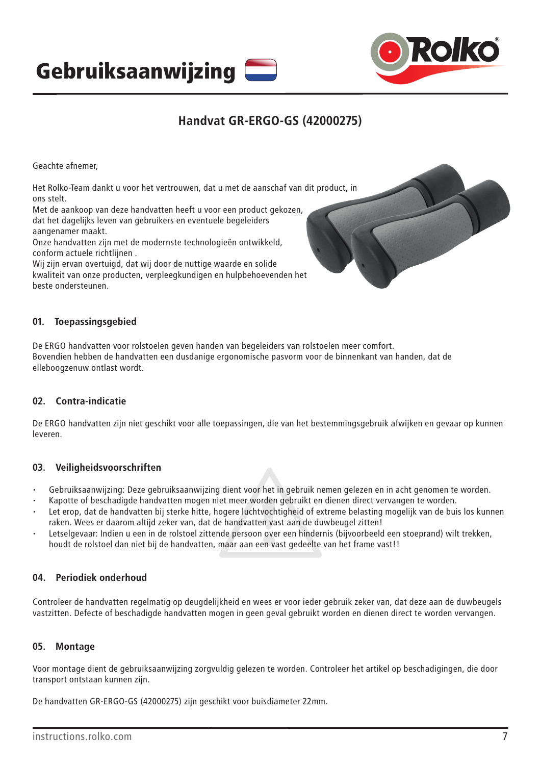Gebruiksaanwijzing



## **Handvat GR-ERGO-GS (42000275)**

Geachte afnemer,

Het Rolko-Team dankt u voor het vertrouwen, dat u met de aanschaf van dit product, in ons stelt.

Met de aankoop van deze handvatten heeft u voor een product gekozen, dat het dagelijks leven van gebruikers en eventuele begeleiders aangenamer maakt.

Onze handvatten zijn met de modernste technologieën ontwikkeld, conform actuele richtlijnen .

Wij zijn ervan overtuigd, dat wij door de nuttige waarde en solide kwaliteit van onze producten, verpleegkundigen en hulpbehoevenden het beste ondersteunen.

#### **01. Toepassingsgebied**

De ERGO handvatten voor rolstoelen geven handen van begeleiders van rolstoelen meer comfort. Bovendien hebben de handvatten een dusdanige ergonomische pasvorm voor de binnenkant van handen, dat de elleboogzenuw ontlast wordt.

#### **02. Contra-indicatie**

De ERGO handvatten zijn niet geschikt voor alle toepassingen, die van het bestemmingsgebruik afwijken en gevaar op kunnen leveren.

#### **03. Veiligheidsvoorschriften**

- Gebruiksaanwijzing: Deze gebruiksaanwijzing dient voor het in gebruik nemen gelezen en in acht genomen te worden.
- Kapotte of beschadigde handvatten mogen niet meer worden gebruikt en dienen direct vervangen te worden.
- Let erop, dat de handvatten bij sterke hitte, hogere luchtvochtigheid of extreme belasting mogelijk van de buis los kunnen raken. Wees er daarom altijd zeker van, dat de handvatten vast aan de duwbeugel zitten!
- Letselgevaar: Indien u een in de rolstoel zittende persoon over een hindernis (bijvoorbeeld een stoeprand) wilt trekken, houdt de rolstoel dan niet bij de handvatten, maar aan een vast gedeelte van het frame vast!!

#### **04. Periodiek onderhoud**

Controleer de handvatten regelmatig op deugdelijkheid en wees er voor ieder gebruik zeker van, dat deze aan de duwbeugels vastzitten. Defecte of beschadigde handvatten mogen in geen geval gebruikt worden en dienen direct te worden vervangen.

#### **05. Montage**

Voor montage dient de gebruiksaanwijzing zorgvuldig gelezen te worden. Controleer het artikel op beschadigingen, die door transport ontstaan kunnen zijn.

De handvatten GR-ERGO-GS (42000275) zijn geschikt voor buisdiameter 22mm.